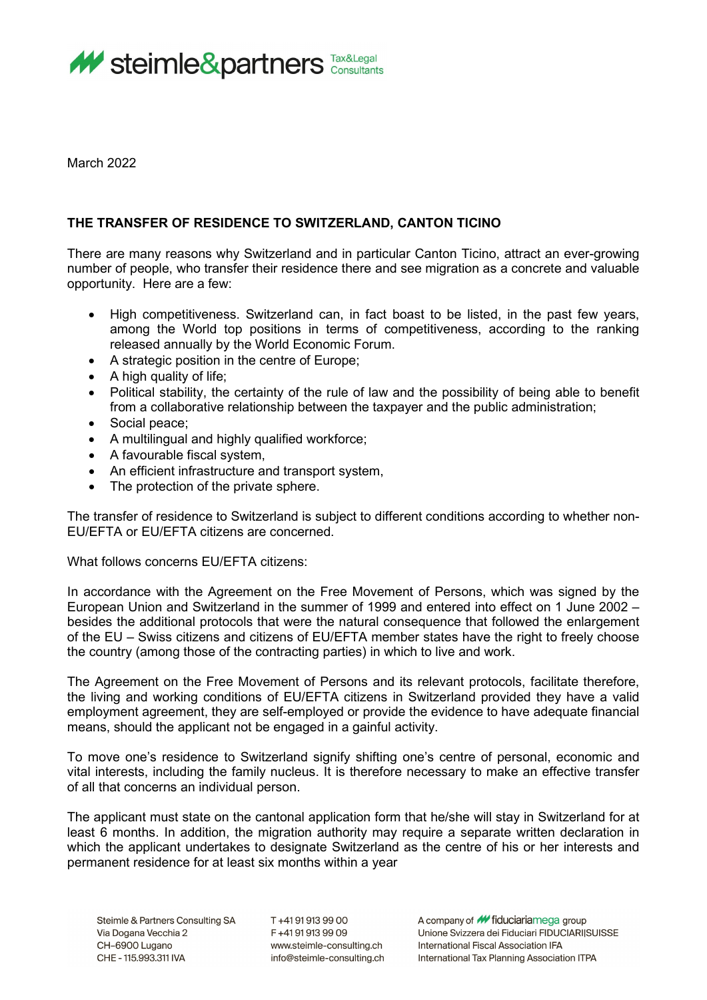

March 2022

## **THE TRANSFER OF RESIDENCE TO SWITZERLAND, CANTON TICINO**

There are many reasons why Switzerland and in particular Canton Ticino, attract an ever-growing number of people, who transfer their residence there and see migration as a concrete and valuable opportunity. Here are a few:

- High competitiveness. Switzerland can, in fact boast to be listed, in the past few years, among the World top positions in terms of competitiveness, according to the ranking released annually by the World Economic Forum.
- A strategic position in the centre of Europe;
- A high quality of life;
- Political stability, the certainty of the rule of law and the possibility of being able to benefit from a collaborative relationship between the taxpayer and the public administration;
- Social peace;
- A multilingual and highly qualified workforce;
- A favourable fiscal system,
- An efficient infrastructure and transport system,
- The protection of the private sphere.

The transfer of residence to Switzerland is subject to different conditions according to whether non-EU/EFTA or EU/EFTA citizens are concerned.

What follows concerns EU/EFTA citizens:

In accordance with the Agreement on the Free Movement of Persons, which was signed by the European Union and Switzerland in the summer of 1999 and entered into effect on 1 June 2002 – besides the additional protocols that were the natural consequence that followed the enlargement of the EU – Swiss citizens and citizens of EU/EFTA member states have the right to freely choose the country (among those of the contracting parties) in which to live and work.

The Agreement on the Free Movement of Persons and its relevant protocols, facilitate therefore, the living and working conditions of EU/EFTA citizens in Switzerland provided they have a valid employment agreement, they are self-employed or provide the evidence to have adequate financial means, should the applicant not be engaged in a gainful activity.

To move one's residence to Switzerland signify shifting one's centre of personal, economic and vital interests, including the family nucleus. It is therefore necessary to make an effective transfer of all that concerns an individual person.

The applicant must state on the cantonal application form that he/she will stay in Switzerland for at least 6 months. In addition, the migration authority may require a separate written declaration in which the applicant undertakes to designate Switzerland as the centre of his or her interests and permanent residence for at least six months within a year

T+41919139900 F+41919139909 www.steimle-consulting.ch info@steimle-consulting.ch